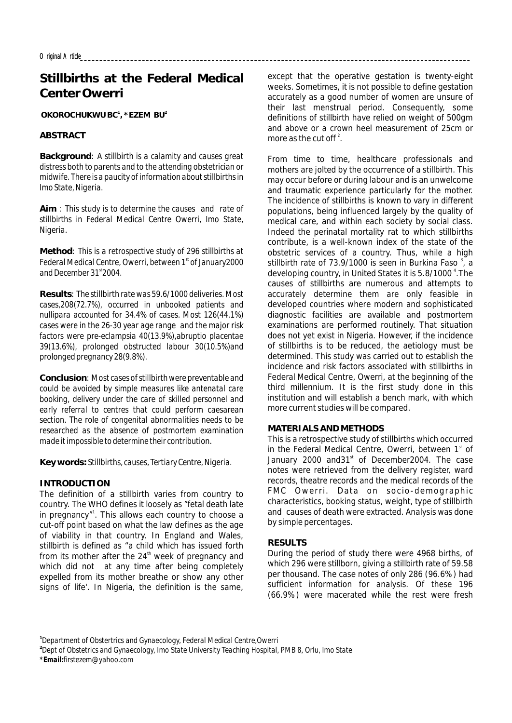# **Stillbirths at the Federal Medical Center Owerri**

**OKOROCHUKWU BC , \*EZEM BU 1 2**

# **ABSTRACT**

**Background**: *A stillbirth is a calamity and causes great distress both to parents and to the attending obstetrician or midwife. There is a paucity of information about stillbirths in Imo State, Nigeria.*

**Aim** : *This study is to determine the causes and rate of stillbirths in Federal Medical Centre Owerri, Imo State, Nigeria.*

**Method**: *This is a retrospective study of 296 stillbirths at st Federal Medical Centre, Owerri, between 1 of January2000 st and December 31 2004.*

**Results**: *The stillbirth rate was 59.6/1000 deliveries. Most cases,208(72.7%), occurred in unbooked patients and nullipara accounted for 34.4% of cases. Most 126(44.1%) cases were in the 26-30 year age range and the major risk factors were pre-eclampsia 40(13.9%),abruptio placentae 39(13.6%), prolonged obstructed labour 30(10.5%)and prolonged pregnancy 28(9.8%).*

**Conclusion**: *Most cases of stillbirth were preventable and could be avoided by simple measures like antenatal care booking, delivery under the care of skilled personnel and early referral to centres that could perform caesarean section. The role of congenital abnormalities needs to be researched as the absence of postmortem examination made it impossible to determine their contribution.*

**Key words:** *Stillbirths, causes, Tertiary Centre, Nigeria.*

## **INTRODUCTION**

The definition of a stillbirth varies from country to country. The WHO defines it loosely as "fetal death late in pregnancy"<sup>1</sup>. This allows each country to choose a cut-off point based on what the law defines as the age of viability in that country. In England and Wales, stillbirth is defined as "a child which has issued forth from its mother after the  $24<sup>th</sup>$  week of pregnancy and which did not at any time after being completely expelled from its mother breathe or show any other signs of life'. In Nigeria, the definition is the same,

except that the operative gestation is twenty-eight weeks. Sometimes, it is not possible to define gestation accurately as a good number of women are unsure of their last menstrual period. Consequently, some definitions of stillbirth have relied on weight of 500gm and above or a crown heel measurement of 25cm or more as the cut off  $2^2$ 

From time to time, healthcare professionals and mothers are jolted by the occurrence of a stillbirth. This may occur before or during labour and is an unwelcome and traumatic experience particularly for the mother. The incidence of stillbirths is known to vary in different populations, being influenced largely by the quality of medical care, and within each society by social class. Indeed the perinatal mortality rat to which stillbirths contribute, is a well-known index of the state of the obstetric services of a country. Thus, while a high stillbirth rate of 73.9/1000 is seen in Burkina Faso  $3$ , a developing country, in United States it is 5.8/1000<sup>4</sup>. The causes of stillbirths are numerous and attempts to accurately determine them are only feasible in developed countries where modern and sophisticated diagnostic facilities are available and postmortem examinations are performed routinely. That situation does not yet exist in Nigeria. However, if the incidence of stillbirths is to be reduced, the aetiology must be determined. This study was carried out to establish the incidence and risk factors associated with stillbirths in Federal Medical Centre, Owerri, at the beginning of the third millennium. It is the first study done in this institution and will establish a bench mark, with which more current studies will be compared.

## **MATERIALS AND METHODS**

This is a retrospective study of stillbirths which occurred in the Federal Medical Centre, Owerri, between  $1<sup>st</sup>$  of January 2000 and31<sup>st</sup> of December2004. The case notes were retrieved from the delivery register, ward records, theatre records and the medical records of the FMC Owerri. Data on socio-demographic characteristics, booking status, weight, type of stillbirth and causes of death were extracted. Analysis was done by simple percentages.

## **RESULTS**

During the period of study there were 4968 births, of which 296 were stillborn, giving a stillbirth rate of 59.58 per thousand. The case notes of only 286 (96.6%) had sufficient information for analysis. Of these 196 (66.9%) were macerated while the rest were fresh

**1** *Department of Obstertrics and Gynaecology, Federal Medical Centre,Owerri*

**2** *Dept of Obstetrics and Gynaecology, Imo State University Teaching Hospital, PMB 8, Orlu, Imo State*

*\*Email:firstezem@yahoo.com*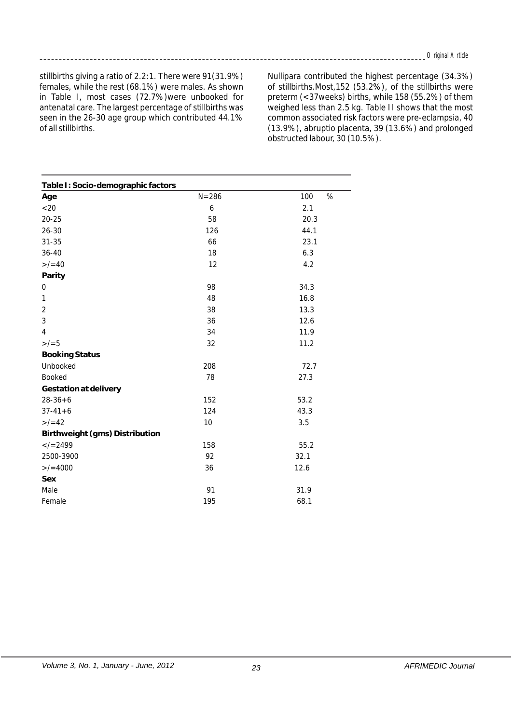stillbirths giving a ratio of 2.2:1. There were 91(31.9%) females, while the rest (68.1%) were males. As shown in Table I, most cases (72.7%)were unbooked for antenatal care. The largest percentage of stillbirths was seen in the 26-30 age group which contributed 44.1% of all stillbirths.

Nullipara contributed the highest percentage (34.3%) of stillbirths.Most,152 (53.2%), of the stillbirths were preterm (<37weeks) births, while 158 (55.2%) of them weighed less than 2.5 kg. Table II shows that the most common associated risk factors were pre-eclampsia, 40 (13.9%), abruptio placenta, 39 (13.6%) and prolonged obstructed labour, 30 (10.5%).

| Table I: Socio-demographic factors |           |          |
|------------------------------------|-----------|----------|
| Age                                | $N = 286$ | %<br>100 |
| < 20                               | 6         | 2.1      |
| $20 - 25$                          | 58        | 20.3     |
| $26 - 30$                          | 126       | 44.1     |
| $31 - 35$                          | 66        | 23.1     |
| $36 - 40$                          | 18        | 6.3      |
| $>/-40$                            | 12        | 4.2      |
| Parity                             |           |          |
| 0                                  | 98        | 34.3     |
| 1                                  | 48        | 16.8     |
| $\overline{2}$                     | 38        | 13.3     |
| 3                                  | 36        | 12.6     |
| $\overline{4}$                     | 34        | 11.9     |
| $>/-5$                             | 32        | 11.2     |
| <b>Booking Status</b>              |           |          |
| Unbooked                           | 208       | 72.7     |
| Booked                             | 78        | 27.3     |
| Gestation at delivery              |           |          |
| $28 - 36 + 6$                      | 152       | 53.2     |
| $37 - 41 + 6$                      | 124       | 43.3     |
| $>/-42$                            | 10        | 3.5      |
| Birthweight (gms) Distribution     |           |          |
| $<$ /=2499                         | 158       | 55.2     |
| 2500-3900                          | 92        | 32.1     |
| $>$ /=4000                         | 36        | 12.6     |
| Sex                                |           |          |
| Male                               | 91        | 31.9     |
| Female                             | 195       | 68.1     |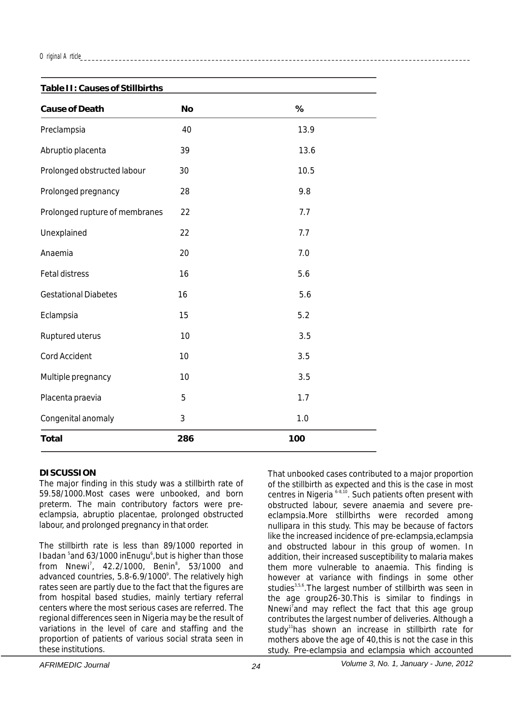#### *Original Article\_\_\_\_\_\_\_\_\_\_\_\_\_\_\_\_\_\_\_\_\_\_\_\_\_\_\_\_\_\_\_\_\_\_\_\_\_\_\_\_\_\_\_\_\_\_\_\_\_\_\_\_\_\_\_\_\_\_\_\_\_\_\_\_\_\_\_\_\_\_\_\_\_\_\_\_\_\_\_\_\_\_\_\_\_\_\_\_\_\_\_\_\_\_\_\_\_\_\_\_\_*

| Table II: Causes of Stillbirths |                |      |
|---------------------------------|----------------|------|
| Cause of Death                  | <b>No</b>      | %    |
| Preclampsia                     | 40             | 13.9 |
| Abruptio placenta               | 39             | 13.6 |
| Prolonged obstructed labour     | 30             | 10.5 |
| Prolonged pregnancy             | 28             | 9.8  |
| Prolonged rupture of membranes  | 22             | 7.7  |
| Unexplained                     | 22             | 7.7  |
| Anaemia                         | 20             | 7.0  |
| <b>Fetal distress</b>           | 16             | 5.6  |
| <b>Gestational Diabetes</b>     | 16             | 5.6  |
| Eclampsia                       | 15             | 5.2  |
| Ruptured uterus                 | 10             | 3.5  |
| Cord Accident                   | 10             | 3.5  |
| Multiple pregnancy              | 10             | 3.5  |
| Placenta praevia                | 5              | 1.7  |
| Congenital anomaly              | $\mathfrak{Z}$ | 1.0  |
| Total                           | 286            | 100  |

## **DISCUSSION**

The major finding in this study was a stillbirth rate of 59.58/1000.Most cases were unbooked, and born preterm. The main contributory factors were preeclampsia, abruptio placentae, prolonged obstructed labour, and prolonged pregnancy in that order.

The stillbirth rate is less than 89/1000 reported in Ibadan <sup>5</sup> and 63/1000 inEnugu<sup>6</sup>, but is higher than those from Nnewi<sup>7</sup>, 42.2/1000, Benin<sup>8</sup>, 53/1000 and advanced countries, 5.8-6.9/1000<sup>°</sup>. The relatively high rates seen are partly due to the fact that the figures are from hospital based studies, mainly tertiary referral centers where the most serious cases are referred. The regional differences seen in Nigeria may be the result of variations in the level of care and staffing and the proportion of patients of various social strata seen in these institutions.

That unbooked cases contributed to a major proportion of the stillbirth as expected and this is the case in most centres in Nigeria <sup>6-8,10</sup>. Such patients often present with obstructed labour, severe anaemia and severe preeclampsia.More stillbirths were recorded among nullipara in this study. This may be because of factors like the increased incidence of pre-eclampsia,eclampsia and obstructed labour in this group of women. In addition, their increased susceptibility to malaria makes them more vulnerable to anaemia. This finding is however at variance with findings in some other studies<sup>3,5,6</sup>. The largest number of stillbirth was seen in the age group26-30.This is similar to findings in Nnewi<sup>7</sup> and may reflect the fact that this age group contributes the largest number of deliveries. Although a study<sup>11</sup> has shown an increase in stillbirth rate for mothers above the age of 40,this is not the case in this study. Pre-eclampsia and eclampsia which accounted